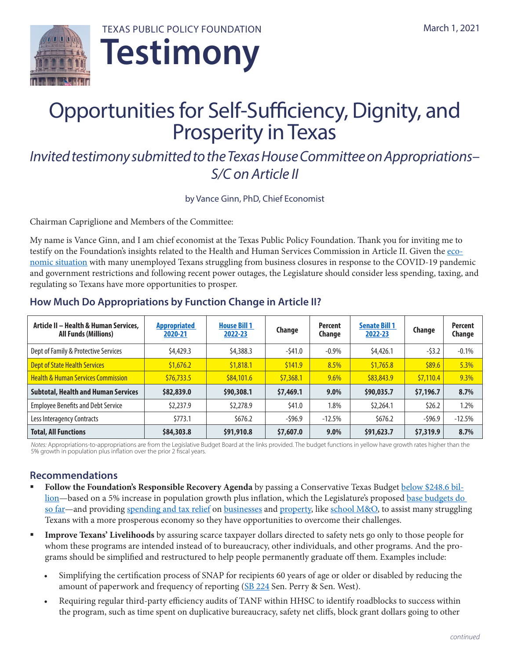



# Opportunities for Self-Sufficiency, Dignity, and Prosperity in Texas

# *Invited testimony submitted to the Texas House Committee on Appropriations– S/C on Article II*

by Vance Ginn, PhD, Chief Economist

Chairman Capriglione and Members of the Committee:

My name is Vance Ginn, and I am chief economist at the Texas Public Policy Foundation. Thank you for inviting me to testify on the Foundation's insights related to the Health and Human Services Commission in Article II. Given the [eco](https://www.texaspolicy.com/texaseconomy/)[nomic situation](https://www.texaspolicy.com/texaseconomy/) with many unemployed Texans struggling from business closures in response to the COVID-19 pandemic and government restrictions and following recent power outages, the Legislature should consider less spending, taxing, and regulating so Texans have more opportunities to prosper.

| Article II - Health & Human Services,<br><b>All Funds (Millions)</b> | <b>Appropriated</b><br>2020-21 | <b>House Bill 1</b><br>2022-23 | Change    | <b>Percent</b><br>Change | <b>Senate Bill 1</b><br>2022-23 | Change    | <b>Percent</b><br>Change |
|----------------------------------------------------------------------|--------------------------------|--------------------------------|-----------|--------------------------|---------------------------------|-----------|--------------------------|
| Dept of Family & Protective Services                                 | \$4,429.3                      | \$4,388.3                      | $-541.0$  | $-0.9\%$                 | \$4,426.1                       | $-53.2$   | $-0.1%$                  |
| Dept of State Health Services                                        | \$1,676.2                      | \$1,818.1                      | \$141.9   | 8.5%                     | \$1,765.8                       | \$89.6    | 5.3%                     |
| <b>Health &amp; Human Services Commission</b>                        | \$76,733.5                     | \$84,101.6                     | \$7,368.1 | $9.6\%$                  | \$83,843.9                      | \$7,110.4 | 9.3%                     |
| <b>Subtotal, Health and Human Services</b>                           | \$82,839.0                     | \$90,308.1                     | \$7,469.1 | $9.0\%$                  | \$90,035.7                      | \$7,196.7 | 8.7%                     |
| <b>Employee Benefits and Debt Service</b>                            | \$2,237.9                      | \$2,278.9                      | \$41.0    | 1.8%                     | \$2,264.1                       | \$26.2    | 1.2%                     |
| Less Interagency Contracts                                           | \$773.1                        | \$676.2                        | $-596.9$  | $-12.5%$                 | \$676.2                         | $-596.9$  | $-12.5%$                 |
| <b>Total, All Functions</b>                                          | \$84,303.8                     | \$91,910.8                     | \$7,607.0 | $9.0\%$                  | \$91,623.7                      | \$7,319.9 | 8.7%                     |

## **How Much Do Appropriations by Function Change in Article II?**

*Notes:* Appropriations-to-appropriations are from the Legislative Budget Board at the links provided. The budget functions in yellow have growth rates higher than the 5% growth in population plus inflation over the prior 2 fiscal years.

### **Recommendations**

- Follow the Foundation's Responsible Recovery Agenda by passing a Conservative Texas Budget [below \\$248.6 bil](https://files.texaspolicy.com/uploads/2020/09/08145139/Ginn-Bordelon-Heflin-2022-23-CTB1.pdf?utm_campaign=Remember%20the%20Taxpayer&utm_source=hs_email&utm_medium=email&_hsenc=p2ANqtz-_0_ECFMLOSby7upYXY1s4wQayK9jefwnuzomloywRYEwP6jYrc345qWJIfj9ceYBAtzSoH)[lion](https://files.texaspolicy.com/uploads/2020/09/08145139/Ginn-Bordelon-Heflin-2022-23-CTB1.pdf?utm_campaign=Remember%20the%20Taxpayer&utm_source=hs_email&utm_medium=email&_hsenc=p2ANqtz-_0_ECFMLOSby7upYXY1s4wQayK9jefwnuzomloywRYEwP6jYrc345qWJIfj9ceYBAtzSoH)—based on a 5% increase in population growth plus inflation, which the Legislature's proposed [base budgets do](https://www.texaspolicy.com/press/proposed-2022-23-budgets-within-tppfs-conservative-texas-budget)  [so far—](https://www.texaspolicy.com/press/proposed-2022-23-budgets-within-tppfs-conservative-texas-budget)and providing [spending and tax relief](https://www.texaspolicy.com/press/tppf-releases-responsible-recovery-agenda) on [businesses](https://www.texaspolicy.com/legebusinessmarginstax/) and [property,](https://files.texaspolicy.com/uploads/2020/10/21134606/Quintero-Flores-Just-the-Facts-Property-Tax.pdf) like [school M&O](https://www.texaspolicy.com/paths-to-reducing-the-excessive-property-tax-burden-in-texas/), to assist many struggling Texans with a more prosperous economy so they have opportunities to overcome their challenges.
- **Improve Texans' Livelihoods** by assuring scarce taxpayer dollars directed to safety nets go only to those people for whom these programs are intended instead of to bureaucracy, other individuals, and other programs. And the programs should be simplified and restructured to help people permanently graduate off them. Examples include:
	- Simplifying the certification process of SNAP for recipients 60 years of age or older or disabled by reducing the amount of paperwork and frequency of reporting ([SB 224](https://capitol.texas.gov/BillLookup/Text.aspx?LegSess=87R&Bill=SB224) Sen. Perry & Sen. West).
	- Requiring regular third-party efficiency audits of TANF within HHSC to identify roadblocks to success within the program, such as time spent on duplicative bureaucracy, safety net cliffs, block grant dollars going to other